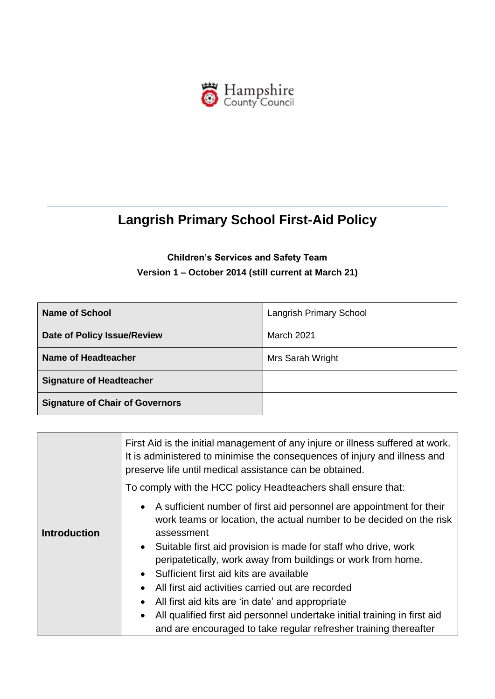

# **Langrish Primary School First-Aid Policy**

# **Children's Services and Safety Team Version 1 – October 2014 (still current at March 21)**

| Name of School                         | <b>Langrish Primary School</b> |
|----------------------------------------|--------------------------------|
| Date of Policy Issue/Review            | <b>March 2021</b>              |
| Name of Headteacher                    | Mrs Sarah Wright               |
| <b>Signature of Headteacher</b>        |                                |
| <b>Signature of Chair of Governors</b> |                                |

|                     | First Aid is the initial management of any injure or illness suffered at work.<br>It is administered to minimise the consequences of injury and illness and<br>preserve life until medical assistance can be obtained.                                                                                                                                                                                                                                                                                                                                                                                                                    |  |
|---------------------|-------------------------------------------------------------------------------------------------------------------------------------------------------------------------------------------------------------------------------------------------------------------------------------------------------------------------------------------------------------------------------------------------------------------------------------------------------------------------------------------------------------------------------------------------------------------------------------------------------------------------------------------|--|
|                     | To comply with the HCC policy Headteachers shall ensure that:                                                                                                                                                                                                                                                                                                                                                                                                                                                                                                                                                                             |  |
| <b>Introduction</b> | • A sufficient number of first aid personnel are appointment for their<br>work teams or location, the actual number to be decided on the risk<br>assessment<br>Suitable first aid provision is made for staff who drive, work<br>$\bullet$<br>peripatetically, work away from buildings or work from home.<br>Sufficient first aid kits are available<br>$\bullet$<br>All first aid activities carried out are recorded<br>$\bullet$<br>All first aid kits are 'in date' and appropriate<br>All qualified first aid personnel undertake initial training in first aid<br>and are encouraged to take regular refresher training thereafter |  |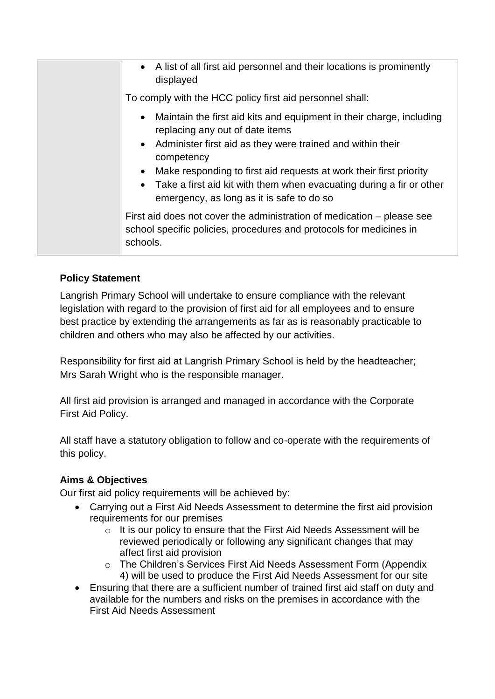| • A list of all first aid personnel and their locations is prominently<br>displayed                                                                                                                                                                                                   |
|---------------------------------------------------------------------------------------------------------------------------------------------------------------------------------------------------------------------------------------------------------------------------------------|
| To comply with the HCC policy first aid personnel shall:                                                                                                                                                                                                                              |
| Maintain the first aid kits and equipment in their charge, including<br>$\bullet$<br>replacing any out of date items<br>• Administer first aid as they were trained and within their<br>competency<br>Make responding to first aid requests at work their first priority<br>$\bullet$ |
| Take a first aid kit with them when evacuating during a fir or other<br>emergency, as long as it is safe to do so                                                                                                                                                                     |
| First aid does not cover the administration of medication – please see<br>school specific policies, procedures and protocols for medicines in<br>schools.                                                                                                                             |

# **Policy Statement**

Langrish Primary School will undertake to ensure compliance with the relevant legislation with regard to the provision of first aid for all employees and to ensure best practice by extending the arrangements as far as is reasonably practicable to children and others who may also be affected by our activities.

Responsibility for first aid at Langrish Primary School is held by the headteacher; Mrs Sarah Wright who is the responsible manager.

All first aid provision is arranged and managed in accordance with the Corporate First Aid Policy.

All staff have a statutory obligation to follow and co-operate with the requirements of this policy.

## **Aims & Objectives**

Our first aid policy requirements will be achieved by:

- Carrying out a First Aid Needs Assessment to determine the first aid provision requirements for our premises
	- o It is our policy to ensure that the First Aid Needs Assessment will be reviewed periodically or following any significant changes that may affect first aid provision
	- o The Children's Services First Aid Needs Assessment Form (Appendix 4) will be used to produce the First Aid Needs Assessment for our site
- Ensuring that there are a sufficient number of trained first aid staff on duty and available for the numbers and risks on the premises in accordance with the First Aid Needs Assessment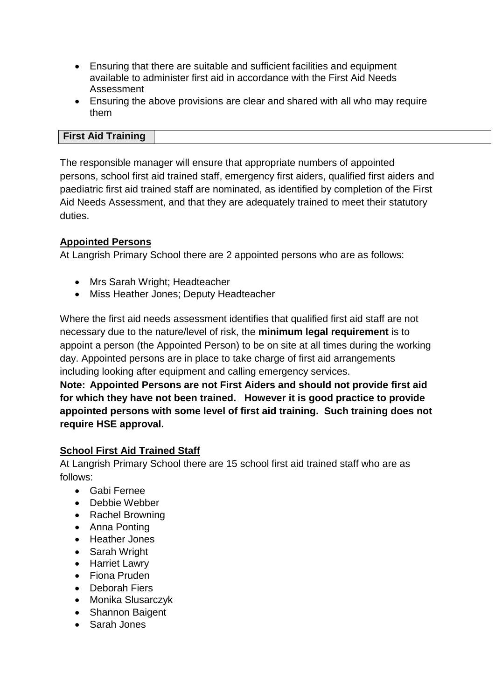- Ensuring that there are suitable and sufficient facilities and equipment available to administer first aid in accordance with the First Aid Needs Assessment
- Ensuring the above provisions are clear and shared with all who may require them

#### **First Aid Training**

The responsible manager will ensure that appropriate numbers of appointed persons, school first aid trained staff, emergency first aiders, qualified first aiders and paediatric first aid trained staff are nominated, as identified by completion of the First Aid Needs Assessment, and that they are adequately trained to meet their statutory duties.

### **Appointed Persons**

At Langrish Primary School there are 2 appointed persons who are as follows:

- Mrs Sarah Wright; Headteacher
- Miss Heather Jones; Deputy Headteacher

Where the first aid needs assessment identifies that qualified first aid staff are not necessary due to the nature/level of risk, the **minimum legal requirement** is to appoint a person (the Appointed Person) to be on site at all times during the working day. Appointed persons are in place to take charge of first aid arrangements including looking after equipment and calling emergency services.

**Note: Appointed Persons are not First Aiders and should not provide first aid for which they have not been trained. However it is good practice to provide appointed persons with some level of first aid training. Such training does not require HSE approval.**

#### **School First Aid Trained Staff**

At Langrish Primary School there are 15 school first aid trained staff who are as follows:

- Gabi Fernee
- Debbie Webber
- Rachel Browning
- Anna Ponting
- Heather Jones
- Sarah Wright
- Harriet Lawry
- Fiona Pruden
- Deborah Fiers
- Monika Slusarczyk
- Shannon Baigent
- Sarah Jones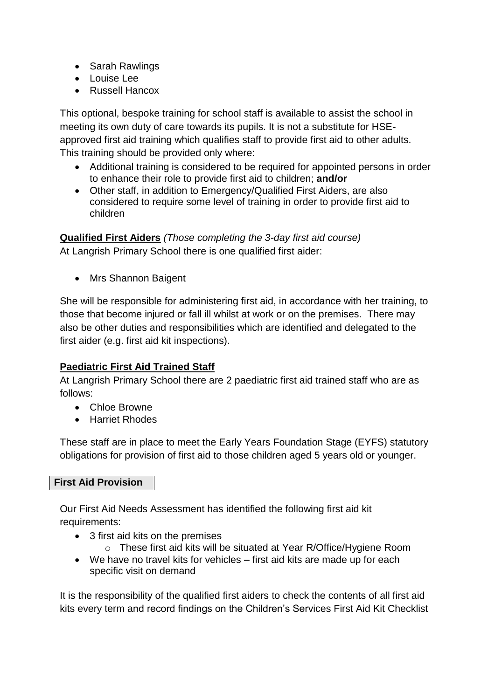- Sarah Rawlings
- Louise Lee
- Russell Hancox

This optional, bespoke training for school staff is available to assist the school in meeting its own duty of care towards its pupils. It is not a substitute for HSEapproved first aid training which qualifies staff to provide first aid to other adults. This training should be provided only where:

- Additional training is considered to be required for appointed persons in order to enhance their role to provide first aid to children; **and/or**
- Other staff, in addition to Emergency/Qualified First Aiders, are also considered to require some level of training in order to provide first aid to children

**Qualified First Aiders** *(Those completing the 3-day first aid course)* At Langrish Primary School there is one qualified first aider:

• Mrs Shannon Baigent

She will be responsible for administering first aid, in accordance with her training, to those that become injured or fall ill whilst at work or on the premises. There may also be other duties and responsibilities which are identified and delegated to the first aider (e.g. first aid kit inspections).

# **Paediatric First Aid Trained Staff**

At Langrish Primary School there are 2 paediatric first aid trained staff who are as follows:

- Chloe Browne
- Harriet Rhodes

These staff are in place to meet the Early Years Foundation Stage (EYFS) statutory obligations for provision of first aid to those children aged 5 years old or younger.

| <b>First Aid Provision</b> |  |
|----------------------------|--|

Our First Aid Needs Assessment has identified the following first aid kit requirements:

- 3 first aid kits on the premises
	- o These first aid kits will be situated at Year R/Office/Hygiene Room
- We have no travel kits for vehicles first aid kits are made up for each specific visit on demand

It is the responsibility of the qualified first aiders to check the contents of all first aid kits every term and record findings on the Children's Services First Aid Kit Checklist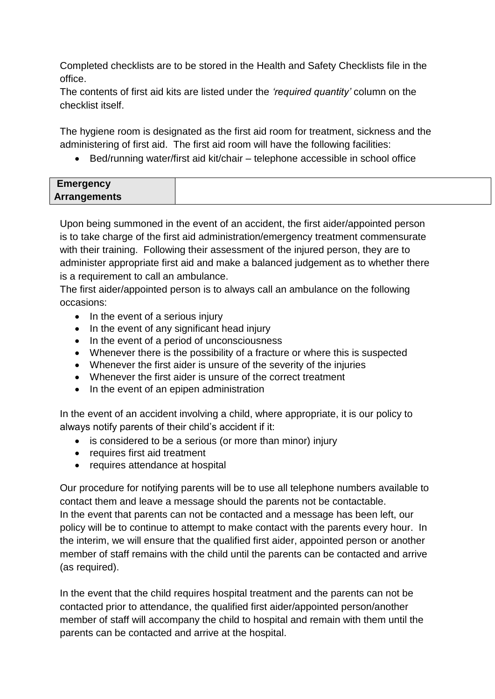Completed checklists are to be stored in the Health and Safety Checklists file in the office.

The contents of first aid kits are listed under the *'required quantity'* column on the checklist itself.

The hygiene room is designated as the first aid room for treatment, sickness and the administering of first aid. The first aid room will have the following facilities:

Bed/running water/first aid kit/chair – telephone accessible in school office

| <b>Emergency</b>    |  |
|---------------------|--|
| <b>Arrangements</b> |  |
|                     |  |

Upon being summoned in the event of an accident, the first aider/appointed person is to take charge of the first aid administration/emergency treatment commensurate with their training. Following their assessment of the injured person, they are to administer appropriate first aid and make a balanced judgement as to whether there is a requirement to call an ambulance.

The first aider/appointed person is to always call an ambulance on the following occasions:

- In the event of a serious injury
- In the event of any significant head injury
- In the event of a period of unconsciousness
- Whenever there is the possibility of a fracture or where this is suspected
- Whenever the first aider is unsure of the severity of the injuries
- Whenever the first aider is unsure of the correct treatment
- In the event of an epipen administration

In the event of an accident involving a child, where appropriate, it is our policy to always notify parents of their child's accident if it:

- is considered to be a serious (or more than minor) injury
- requires first aid treatment
- requires attendance at hospital

Our procedure for notifying parents will be to use all telephone numbers available to contact them and leave a message should the parents not be contactable. In the event that parents can not be contacted and a message has been left, our policy will be to continue to attempt to make contact with the parents every hour. In the interim, we will ensure that the qualified first aider, appointed person or another member of staff remains with the child until the parents can be contacted and arrive (as required).

In the event that the child requires hospital treatment and the parents can not be contacted prior to attendance, the qualified first aider/appointed person/another member of staff will accompany the child to hospital and remain with them until the parents can be contacted and arrive at the hospital.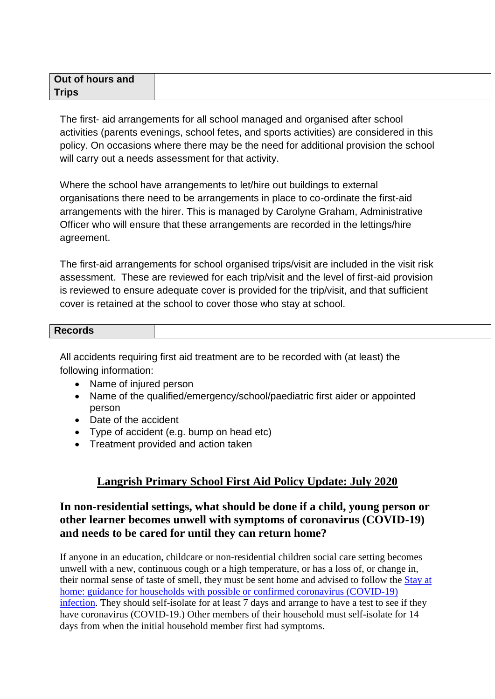| Out of hours and |  |
|------------------|--|
| <b>Trips</b>     |  |

The first- aid arrangements for all school managed and organised after school activities (parents evenings, school fetes, and sports activities) are considered in this policy. On occasions where there may be the need for additional provision the school will carry out a needs assessment for that activity.

Where the school have arrangements to let/hire out buildings to external organisations there need to be arrangements in place to co-ordinate the first-aid arrangements with the hirer. This is managed by Carolyne Graham, Administrative Officer who will ensure that these arrangements are recorded in the lettings/hire agreement.

The first-aid arrangements for school organised trips/visit are included in the visit risk assessment. These are reviewed for each trip/visit and the level of first-aid provision is reviewed to ensure adequate cover is provided for the trip/visit, and that sufficient cover is retained at the school to cover those who stay at school.

## **Records**

All accidents requiring first aid treatment are to be recorded with (at least) the following information:

- Name of injured person
- Name of the qualified/emergency/school/paediatric first aider or appointed person
- Date of the accident
- Type of accident (e.g. bump on head etc)
- Treatment provided and action taken

## **Langrish Primary School First Aid Policy Update: July 2020**

## **In non-residential settings, what should be done if a child, young person or other learner becomes unwell with symptoms of coronavirus (COVID-19) and needs to be cared for until they can return home?**

If anyone in an education, childcare or non-residential children social care setting becomes unwell with a new, continuous cough or a high temperature, or has a loss of, or change in, their normal sense of taste of smell, they must be sent home and advised to follow the [Stay at](https://www.gov.uk/government/publications/covid-19-stay-at-home-guidance/stay-at-home-guidance-for-households-with-possible-coronavirus-covid-19-infection)  [home: guidance for households with possible or confirmed coronavirus \(COVID-19\)](https://www.gov.uk/government/publications/covid-19-stay-at-home-guidance/stay-at-home-guidance-for-households-with-possible-coronavirus-covid-19-infection)  [infection.](https://www.gov.uk/government/publications/covid-19-stay-at-home-guidance/stay-at-home-guidance-for-households-with-possible-coronavirus-covid-19-infection) They should self-isolate for at least 7 days and arrange to have a test to see if they have coronavirus (COVID-19.) Other members of their household must self-isolate for 14 days from when the initial household member first had symptoms.